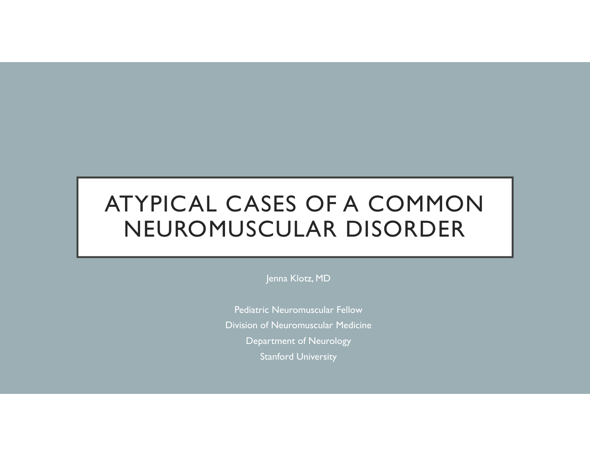### ATYPICAL CASES OF A COMMON NEUROMUSCULAR DISORDER

Jenna Klotz, MD

Pediatric Neuromuscular Fellow Division of Neuromuscular Medicine Department of Neurology Stanford University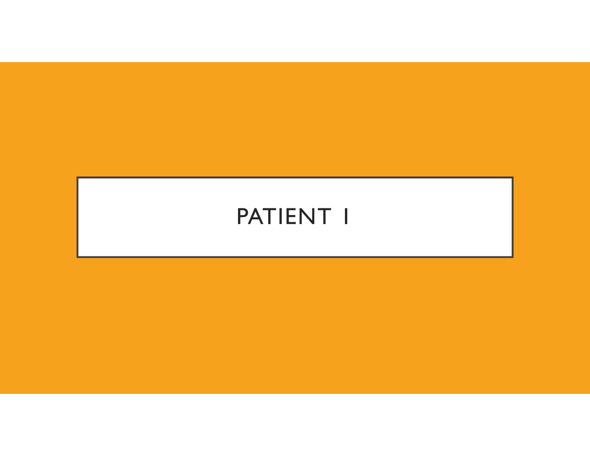### PATIENT I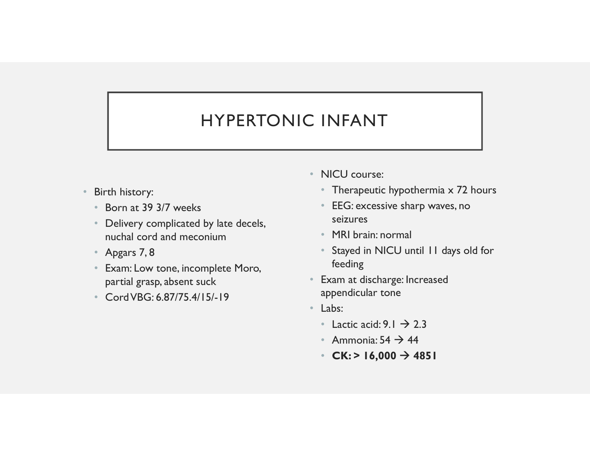### HYPERTONIC INFANT

- Birth history:
	- Born at 39 3/7 weeks
	- Delivery complicated by late decels, nuchal cord and meconium
	-
- **EXECUTE:**<br>
FRIPERTONIC INFANT<br>
 NICU course:<br>
 Born at 39 3/7 weeks<br>
 Delivery complicated by late decels,<br>
 Apgars 7, 8<br>
 Apgars 7, 8<br>
 Exam: Low tone, incomplete Moro,<br>
 Apgars 7, 8<br>
 Stayed in N<br>
 Cord VBG: 6. • Exam: Low tone, incomplete Moro, partial grasp, absent suck
	- Cord VBG: 6.87/75.4/15/-19
- NICU course:
	- Therapeutic hypothermia x 72 hours
	- EEG: excessive sharp waves, no seizures
	- MRI brain: normal
	- Stayed in NICU until 11 days old for feeding
- Exam at discharge: Increased appendicular tone
- Labs:
	- Lactic acid:  $9.1 \rightarrow 2.3$
	- Ammonia:  $54 \rightarrow 44$
	- CK: > 16,000  $\rightarrow$  4851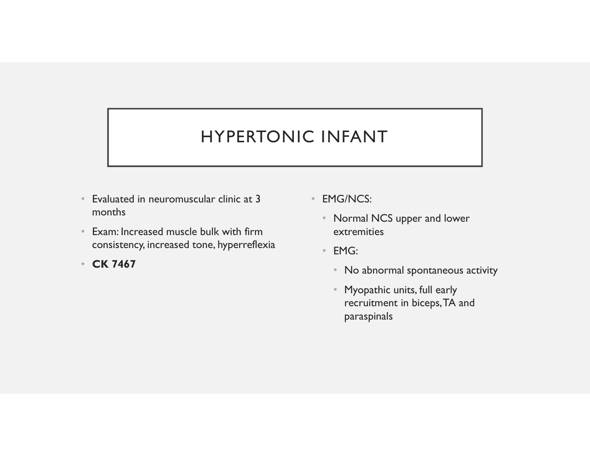### HYPERTONIC INFANT

- Evaluated in neuromuscular clinic at 3 months
- Exam: Increased muscle bulk with firm consistency, increased tone, hyperreflexia
- CK 7467
- EMG/NCS:
	- Normal NCS upper and lower extremities
	- EMG:
		- No abnormal spontaneous activity
		- Myopathic units, full early recruitment in biceps, TA and paraspinals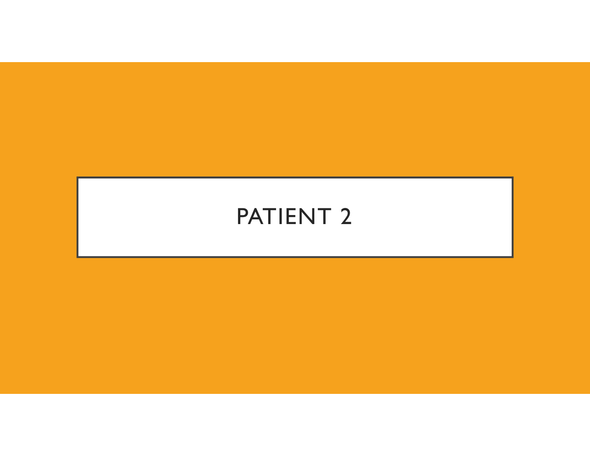### PATIENT 2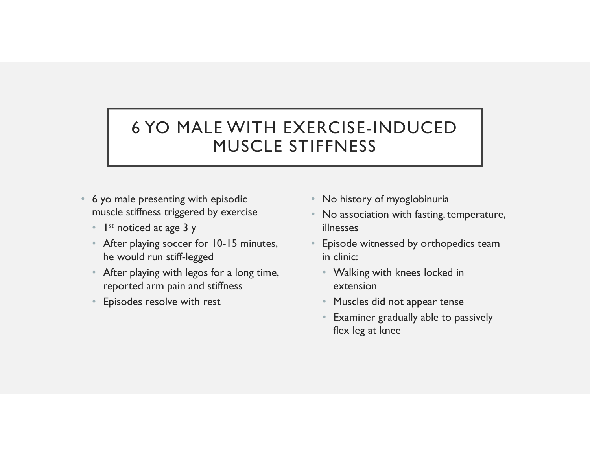### 6 YO MALE WITH EXERCISE-INDUCED<br>MUSCLE STIFFNESS MUSCLE STIFFNESS 6 YO MALE WITH EXERCISI<br>
MUSCLE STIFFNE<br>
• 6 yo male presenting with episodic<br>
• No history with episodic<br>
• I<sup>st</sup> noticed at age 3 y<br>
• After playing soccer for 10-15 minutes,<br>
• Episode • After playing with legos for a long time,<br>• Fiscal doctrines for a long times,<br>• After playing social domains and stiffness for a long time,<br>• After playing social domains and stiffness<br>• Fiscal domains and stiffness<br>• F

- muscle stiffness triggered by exercise
	- 1 st noticed at age 3 y
	- After playing soccer for 10-15 minutes, he would run stiff-legged
	- reported arm pain and stiffness
	- Episodes resolve with rest
- No history of myoglobinuria
- No association with fasting, temperature, illnesses
- Episode witnessed by orthopedics team in clinic:
	- Walking with knees locked in extension
	- Muscles did not appear tense
	- Examiner gradually able to passively flex leg at knee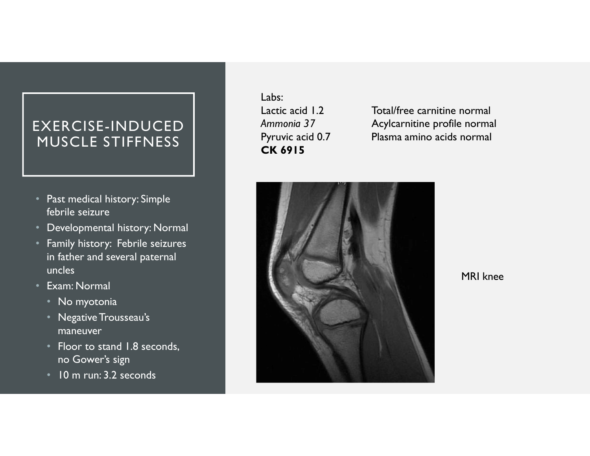### EXERCISE-INDUCED MUSCLE STIFFNESS | Pyruvic acid 0.7

- Past medical history: Simple febrile seizure
- Developmental history: Normal
- Family history: Febrile seizures in father and several paternal uncles
- Exam: Normal
	- No myotonia
	- Negative Trousseau's maneuver
	- Floor to stand 1.8 seconds, no Gower's sign
	- 10 m run: 3.2 seconds

Labs: CK 6915

Labs:<br>
Lactic acid 1.2 Total/free carnitine normal<br>
Ammonia 37 Acylcarnitine profile normal<br>
Pyruvic acid 0.7 Plasma amino acids normal<br> **CK 6915** Labs:<br>
Lactic acid 1.2 Total/free carnitine normal<br>
Ammonia 37 Acylcarnitine profile normal<br>
Pyruvic acid 0.7 Plasma amino acids normal<br> **CK 6915** Plasma amino acids normal



MRI knee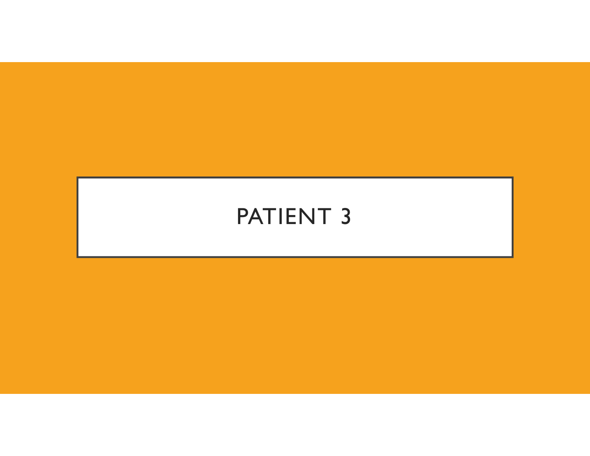### PATIENT 3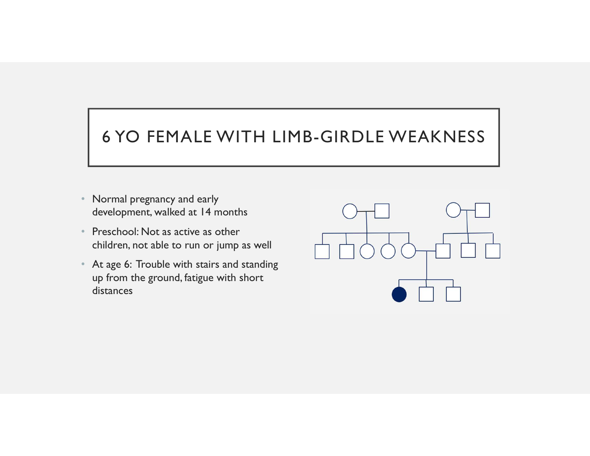# 6 YO FEMALE WITH LIMB-GIRDLE WEAKNESS

- Normal pregnancy and early development, walked at 14 months
- Preschool: Not as active as other children, not able to run or jump as well
- At age 6: Trouble with stairs and standing up from the ground, fatigue with short distances

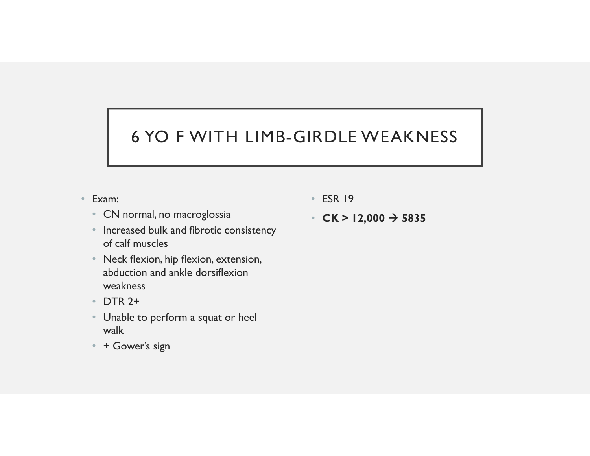# 6 YO F WITH LIMB-GIRDLE WEAKNESS

- Exam:
	- CN normal, no macroglossia
	- Increased bulk and fibrotic consistency of calf muscles
	- Neck flexion, hip flexion, extension, abduction and ankle dorsiflexion weakness
	- DTR 2+
	- Unable to perform a squat or heel walk
	- + Gower's sign
- ESR 19
- CK > 12,000  $\rightarrow$  5835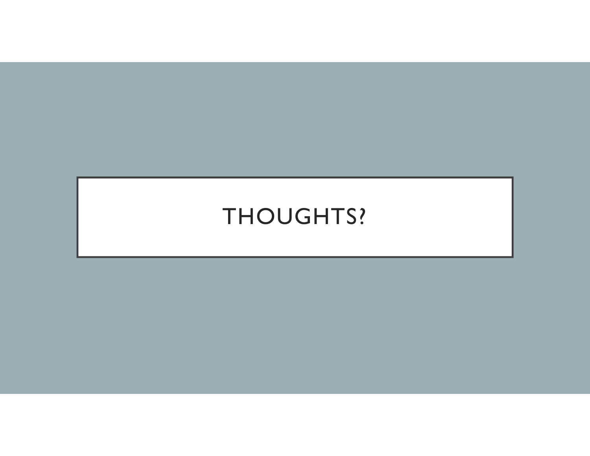### THOUGHTS?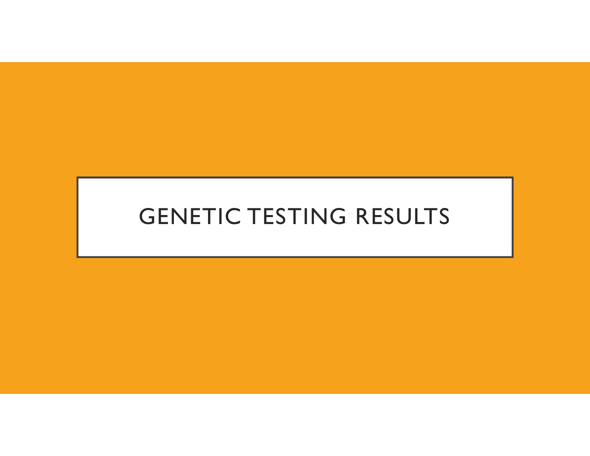### GENETIC TESTING RESULTS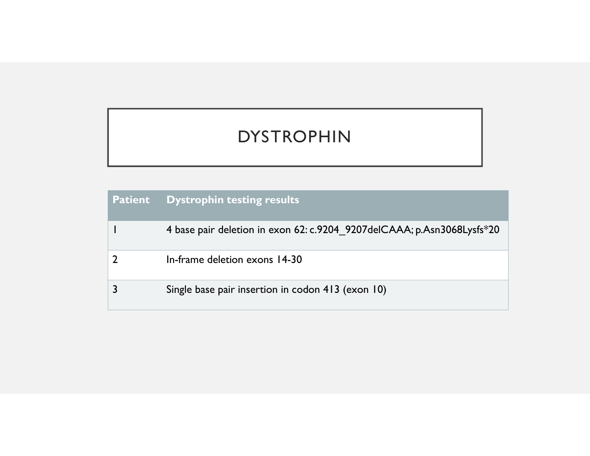### DYSTROPHIN

|                | <b>DYSTROPHIN</b>                                                      |
|----------------|------------------------------------------------------------------------|
|                |                                                                        |
| <b>Patient</b> | <b>Dystrophin testing results</b>                                      |
| J.             | 4 base pair deletion in exon 62: c.9204_9207delCAAA; p.Asn3068Lysfs*20 |
| $\overline{2}$ | In-frame deletion exons 14-30                                          |
| $\overline{3}$ | Single base pair insertion in codon 413 (exon 10)                      |
|                |                                                                        |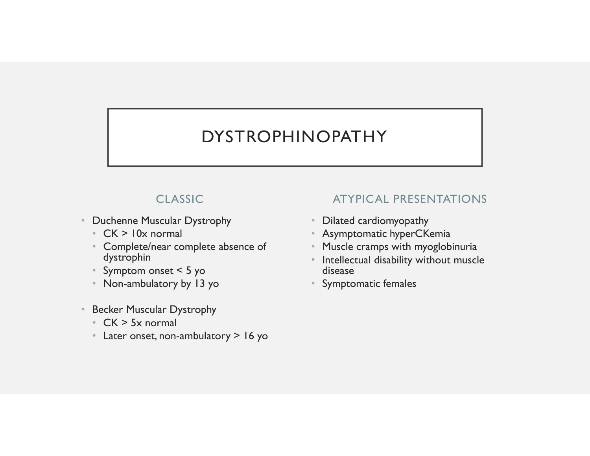### DYSTROPHINOPATHY

### CLASSIC

- Duchenne Muscular Dystrophy
	- CK > 10x normal
	- Complete/near complete absence of dystrophin
	- Symptom onset < 5 yo
	- Non-ambulatory by 13 yo
- Becker Muscular Dystrophy
	- CK > 5x normal
	- Later onset, non-ambulatory > 16 yo

### ATYPICAL PRESENTATIONS

- Dilated cardiomyopathy
- Asymptomatic hyperCKemia
- Muscle cramps with myoglobinuria
- Intellectual disability without muscle disease
- Symptomatic females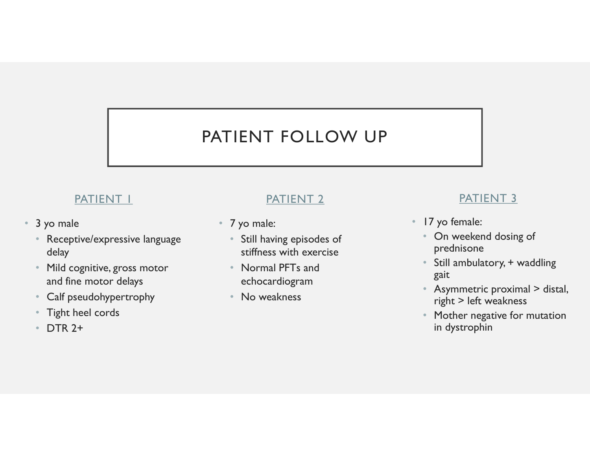## PATIENT FOLLOW UP **FIENT FOLLOW UP**<br>
PATIENT 2 PATIEN<br>
• 7 yo male:<br>
• Still having episodes of<br>
• Still having episodes of<br>
• Still having episodes of<br>
• Still having episodes of<br>
• Still ambulator<br>
• Normal PFTs and<br>
• Still ambulator<br>
•

### PATIENT I

- 
- **PATIENT FO**<br>
PATIENT I<br>
 3 yo male<br>
 Receptive/expressive language<br>
 7 yo male:<br>
 The Still having ep<br>
 Still having ep<br>
 Still having ep<br>
 Still having ep<br>
 Still having ep<br>
 Still having ep<br>
 Mild cognitive, g • Receptive/expressive language Still having episodes of delay
	- Mild cognitive, gross motor and fine motor delays
	- Calf pseudohypertrophy
	- Tight heel cords
	- DTR 2+

### PATIENT 2

- - stiffness with exercise
	- Normal PFTs and echocardiogram
	- No weakness

### PATIENT 3

- 
- PATIENT 3<br>• 17 yo female:<br>• On weekend dosing of<br>• Still ambulatory, + waddling prednisone
	- Still ambulatory, + waddling gait
	- Asymmetric proximal > distal, right > left weakness
	- Mother negative for mutation in dystrophin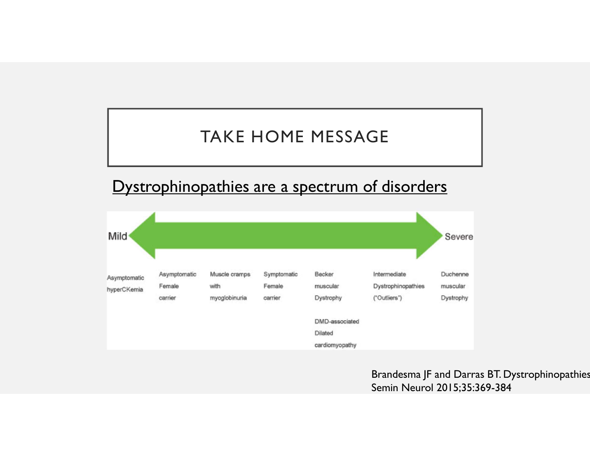### TAKE HOME MESSAGE



Semin Neurol 2015;35:369-384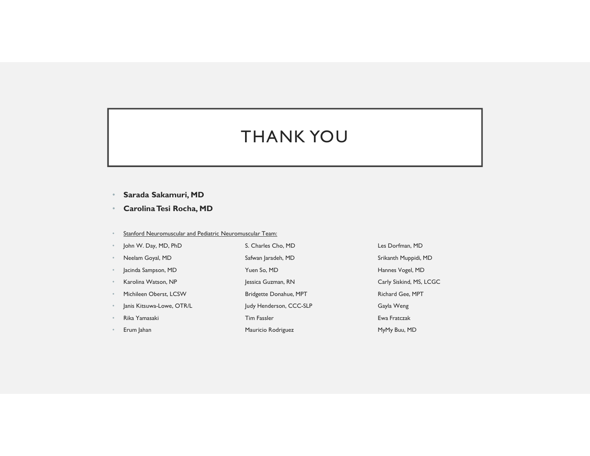### THANK YOU THANK YOU<br>• Sarada Sakamuri, MD<br>• Carolina Tesi Rocha, MD<br>• Stanford Neuromuscular.and Pediatric Neuromuscular.Team:<br>• Stanford Neuromuscular.and Pediatric Neuromuscular.Team: THANK YOU<br>• Sarada Sakamuri, MD<br>• Carolina Tesi Rocha, MD<br>• Stanford Neuromuscular and Pediatric Neuromuscular Team:<br>• Neelan Govd, MD, PhD, S. Charles Cho, MD Les Dorfman, M<br>• Neelan Govd, MD Safwan Iaradeh. MD Sirkanth M

- 
- 
- Stanford Neuromuscular and Pediatric Neuromuscular Team:
- -
- 
- 
- 
- 
- 
- 
- 
- - - -
			-
			- -

• Sarada Sakamuri, MD<br>• Carolina Tesi Rocha, MD<br>• Carolina Tesi Rocha, MD<br>• John W. Day, MD<br>• John W. Day, MD<br>• Nesian Goyal, MD<br>• Nesian Goyal, MD<br>• Jechnica Charles Cho, MP / Jessen Goyal, MD<br>• Sindia Sampson, NP / Jesse • Sarada Sakamuri, MD<br>• Carolina Tesi Rocha, MD<br>• Carolina Tesi Rocha, MD<br>• Stanford Nauromuscular and Pediatric Nauromuscular Team:<br>• John W. Day, MD, RD<br>• Neelam Goyal, MD – Stanford Muppid, MD – Stanford Muppid, MD<br>• Je **• Sarada Sakamuri, MD**<br>• **Sarada Sakamuri, MD**<br>• **Carolina Tesi Rocha, MD**<br>• Samford Neuromsrcaler and Pediatric Neuromsrcaler Team:<br>• John W. Day, MD, RD<br>• Nevelam Goyal, MD<br>• New So, MD Hannes Vogel, MD<br>• Karolina Watso • Sarada Sakamuri, MD<br>• Sarada Sakamuri, MD<br>• Carolina Tesi Rocha, MD<br>• Jessin Goyal, MD<br>• Jessin Goyal, MD<br>• Newsim Goyal, MD<br>• Newsim Goyal, MD<br>• Newsim Goyal, MD<br>• Newsim Goyal, MD<br>• Jessica Goyal, MD<br>• Jessica Goyal, M • **Sarada Sakamuri, MD**<br>• **Carolina Tesi Rocha, MD**<br>• Carolina Tesi Rocha, MD<br>• Sandord Neuromnscalar and Pedaters. Neuromnscalar Team<br>• John W. Day, MD, RiD<br>• Newlan (Oper). MP<br>• Yearly March Constant AB, MP<br>• Michileen O • Sarada Sakamuri, MD<br>• Sarada Sakamuri, MD<br>• Carolina Tesi Rocha, MD<br>• Sandod Neuromuscula: and Paslaric Neuromuscula: Team:<br>• John W. Day, MD, RD<br>• Nenders Coput, MD<br>• Salvan Judy Henderson, MD<br>• Janis Kitsuwa-Lowe, OTR/ • **Sarada Sakamuri, MD**<br>• **Carolina Tesi Rocha, MD**<br>• Samded Neuromansaki Tim Fassler Rockhand Padistic Neuromansaki Team:<br>
• John W. Sny, MD, The Same Carolina Sacrifice Charles Chan And Safetya Jamach, MD<br>• John Gropsi, Francisco Salamouri, MD<br>• Carolina Test Rocha, MD<br>• Sandord Neuromuscular.naf Pediatric Neuromuscular.Tem:<br>• John W, Dry, MD, RD<br>• Neviem Groph MB<br>• Neuroman Manus Command, MD<br>• Function Maria Mystem, MD<br>• Function Maria M